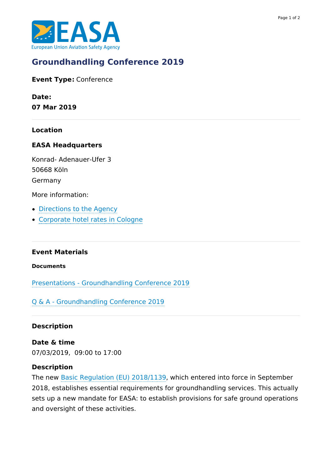

# **[Groundhandling](https://www.easa.europa.eu/newsroom-and-events/events/groundhandling-conference-2019) Conference 2019**

**Event Type:** Conference

**Date: 07 Mar 2019**

**Location**

#### **EASA Headquarters**

Konrad- Adenauer-Ufer 3 50668 Köln Germany

More information:

- [Directions](https://www.easa.europa.eu/can-we-help-you#easa-hq) to the Agency
- [Corporate](https://www.ehotel.de/de/IBE/Home?sp=PSrefPoint%253DS%257C%257C%257C%257C%257CDeutschland+K%25EF%25BF%25BDln%257C%257C%257C%257C%257C%257C%257C%257Cfalse%252CSrequestorId%253DSeasa%252CSroomCount%253D1%252CSroomType%253DSSGL%252CSprevPage%253DSRedirectPage) hotel rates in Cologne

#### **Event Materials**

**Documents**

Presentations - [Groundhandling](https://www.easa.europa.eu/downloads/82667/en) Conference 2019

Q & A - [Groundhandling](https://www.easa.europa.eu/downloads/97035/en) Conference 2019

#### **Description**

**Date & time** 07/03/2019, 09:00 to 17:00

#### **Description**

The new Basic [Regulation](https://eur-lex.europa.eu/legal-content/EN/TXT/?uri=CELEX:32018R1139) (EU) 2018/1139, which entered into force in September 2018, establishes essential requirements for groundhandling services. This actually sets up a new mandate for EASA: to establish provisions for safe ground operations and oversight of these activities.